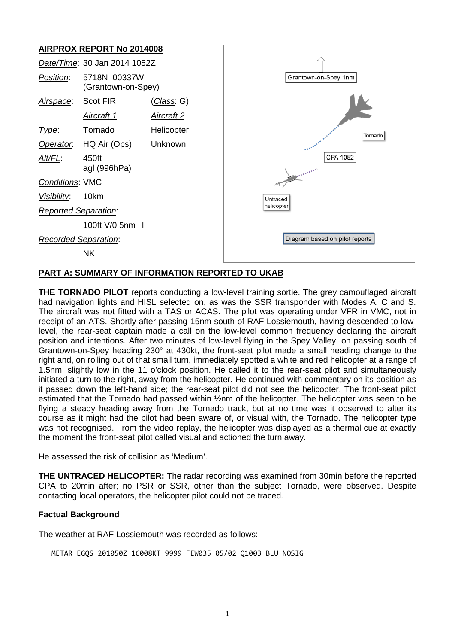# **AIRPROX REPORT No 2014008**



## **PART A: SUMMARY OF INFORMATION REPORTED TO UKAB**

**THE TORNADO PILOT** reports conducting a low-level training sortie. The grey camouflaged aircraft had navigation lights and HISL selected on, as was the SSR transponder with Modes A, C and S. The aircraft was not fitted with a TAS or ACAS. The pilot was operating under VFR in VMC, not in receipt of an ATS. Shortly after passing 15nm south of RAF Lossiemouth, having descended to lowlevel, the rear-seat captain made a call on the low-level common frequency declaring the aircraft position and intentions. After two minutes of low-level flying in the Spey Valley, on passing south of Grantown-on-Spey heading 230° at 430kt, the front-seat pilot made a small heading change to the right and, on rolling out of that small turn, immediately spotted a white and red helicopter at a range of 1.5nm, slightly low in the 11 o'clock position. He called it to the rear-seat pilot and simultaneously initiated a turn to the right, away from the helicopter. He continued with commentary on its position as it passed down the left-hand side; the rear-seat pilot did not see the helicopter. The front-seat pilot estimated that the Tornado had passed within ½nm of the helicopter. The helicopter was seen to be flying a steady heading away from the Tornado track, but at no time was it observed to alter its course as it might had the pilot had been aware of, or visual with, the Tornado. The helicopter type was not recognised. From the video replay, the helicopter was displayed as a thermal cue at exactly the moment the front-seat pilot called visual and actioned the turn away.

He assessed the risk of collision as 'Medium'.

**THE UNTRACED HELICOPTER:** The radar recording was examined from 30min before the reported CPA to 20min after; no PSR or SSR, other than the subject Tornado, were observed. Despite contacting local operators, the helicopter pilot could not be traced.

#### **Factual Background**

The weather at RAF Lossiemouth was recorded as follows:

METAR EGQS 201050Z 16008KT 9999 FEW035 05/02 Q1003 BLU NOSIG